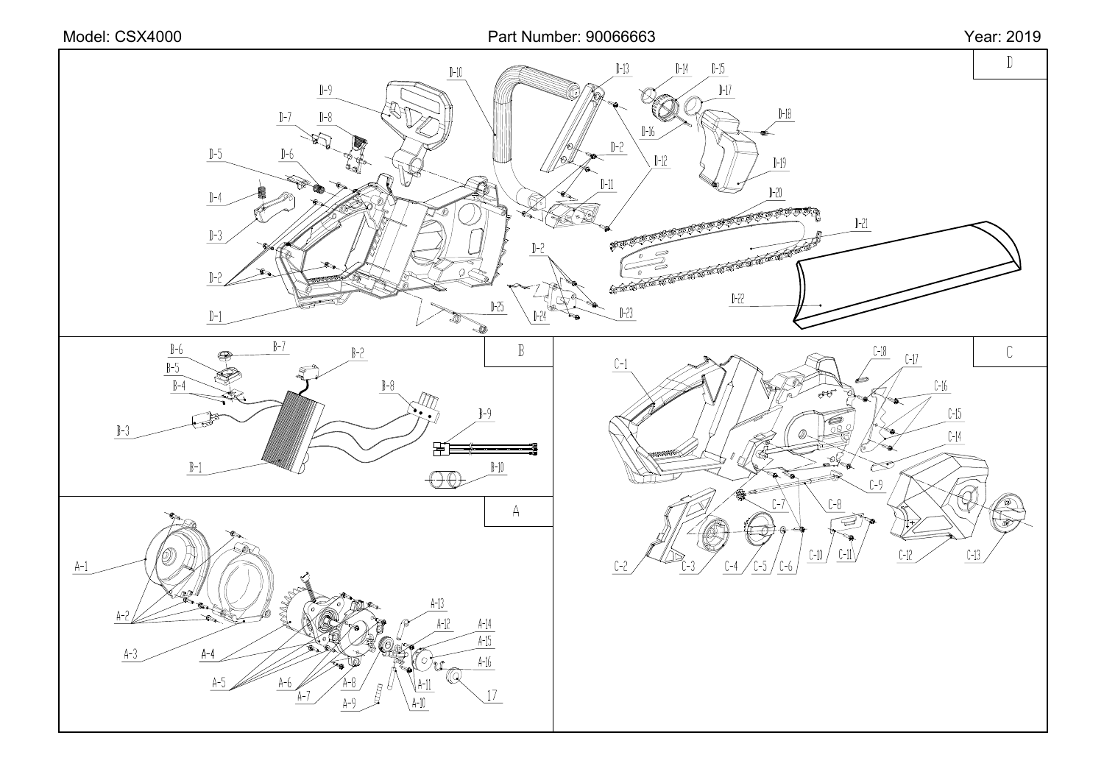







 $]-13$ 

 $D-2$ 

1-16

 $J-12$ 

 $D-14$   $D-15$ 

 $\mathbb{H}$ 

 $D-18$ 

 $]-19$ 

 $J-20$ 

 $\mathbb D$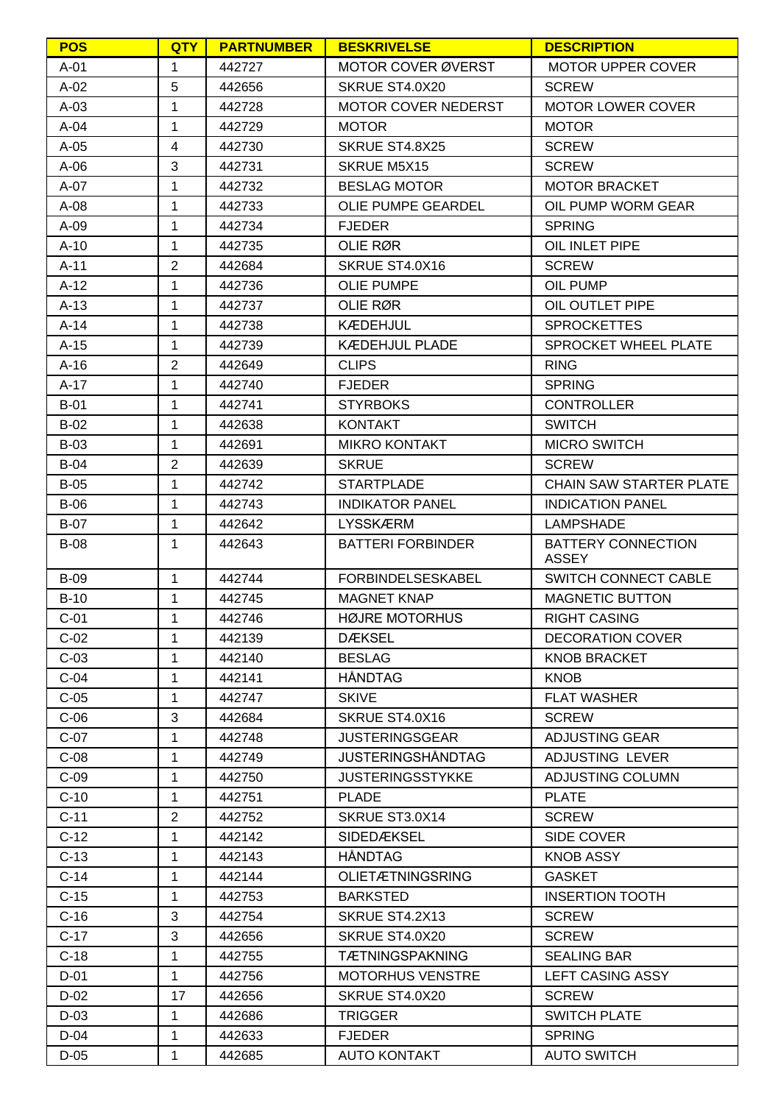| <b>POS</b>  | QTY            | <b>PARTNUMBER</b> | <b>BESKRIVELSE</b>         | <b>DESCRIPTION</b>             |
|-------------|----------------|-------------------|----------------------------|--------------------------------|
| A-01        | 1              | 442727            | MOTOR COVER ØVERST         | <b>MOTOR UPPER COVER</b>       |
| $A-02$      | 5              | 442656            | SKRUE ST4.0X20             | <b>SCREW</b>                   |
| $A-03$      | 1              | 442728            | <b>MOTOR COVER NEDERST</b> | <b>MOTOR LOWER COVER</b>       |
| $A-04$      | 1              | 442729            | <b>MOTOR</b>               | <b>MOTOR</b>                   |
| $A-05$      | $\overline{4}$ | 442730            | SKRUE ST4.8X25             | <b>SCREW</b>                   |
| $A-06$      | 3              | 442731            | <b>SKRUE M5X15</b>         | <b>SCREW</b>                   |
| A-07        | 1              | 442732            | <b>BESLAG MOTOR</b>        | <b>MOTOR BRACKET</b>           |
| $A-08$      | 1              | 442733            | OLIE PUMPE GEARDEL         | OIL PUMP WORM GEAR             |
| A-09        | 1              | 442734            | <b>FJEDER</b>              | <b>SPRING</b>                  |
| $A-10$      | 1              | 442735            | OLIE RØR                   | OIL INLET PIPE                 |
| A-11        | $\overline{2}$ | 442684            | SKRUE ST4.0X16             | <b>SCREW</b>                   |
| $A-12$      | 1              | 442736            | <b>OLIE PUMPE</b>          | OIL PUMP                       |
| $A-13$      | 1              | 442737            | OLIE RØR                   | OIL OUTLET PIPE                |
| $A-14$      | 1              | 442738            | <b>KÆDEHJUL</b>            | <b>SPROCKETTES</b>             |
| $A-15$      | $\mathbf{1}$   | 442739            | <b>KÆDEHJUL PLADE</b>      | SPROCKET WHEEL PLATE           |
| $A-16$      | $\overline{2}$ | 442649            | <b>CLIPS</b>               | <b>RING</b>                    |
| $A-17$      | $\mathbf{1}$   | 442740            | <b>FJEDER</b>              | <b>SPRING</b>                  |
| <b>B-01</b> | $\mathbf{1}$   | 442741            | <b>STYRBOKS</b>            | <b>CONTROLLER</b>              |
| $B-02$      | $\mathbf{1}$   | 442638            | <b>KONTAKT</b>             | <b>SWITCH</b>                  |
| $B-03$      | 1              | 442691            | <b>MIKRO KONTAKT</b>       | <b>MICRO SWITCH</b>            |
| $B-04$      | $\overline{2}$ | 442639            | <b>SKRUE</b>               | <b>SCREW</b>                   |
| $B-05$      | 1              | 442742            | <b>STARTPLADE</b>          | <b>CHAIN SAW STARTER PLATE</b> |
| $B-06$      | 1              | 442743            | <b>INDIKATOR PANEL</b>     | <b>INDICATION PANEL</b>        |
| <b>B-07</b> | 1              | 442642            | <b>LYSSKÆRM</b>            | <b>LAMPSHADE</b>               |
| <b>B-08</b> | 1              | 442643            | <b>BATTERI FORBINDER</b>   | <b>BATTERY CONNECTION</b>      |
|             |                |                   |                            | <b>ASSEY</b>                   |
| $B-09$      | $\mathbf{1}$   | 442744            | <b>FORBINDELSESKABEL</b>   | SWITCH CONNECT CABLE           |
| $B-10$      | 1              | 442745            | <b>MAGNET KNAP</b>         | <b>MAGNETIC BUTTON</b>         |
| $C-01$      | 1              | 442746            | <b>HØJRE MOTORHUS</b>      | <b>RIGHT CASING</b>            |
| $C-02$      | $\mathbf{1}$   | 442139            | <b>DÆKSEL</b>              | <b>DECORATION COVER</b>        |
| $C-03$      | $\mathbf{1}$   | 442140            | <b>BESLAG</b>              | <b>KNOB BRACKET</b>            |
| $C-04$      | $\mathbf{1}$   | 442141            | <b>HÅNDTAG</b>             | <b>KNOB</b>                    |
| $C-05$      | 1              | 442747            | <b>SKIVE</b>               | <b>FLAT WASHER</b>             |
| $C-06$      | 3              | 442684            | SKRUE ST4.0X16             | <b>SCREW</b>                   |
| $C-07$      | 1              | 442748            | <b>JUSTERINGSGEAR</b>      | <b>ADJUSTING GEAR</b>          |
| $C-08$      | 1              | 442749            | <b>JUSTERINGSHÅNDTAG</b>   | ADJUSTING LEVER                |
| $C-09$      | 1              | 442750            | <b>JUSTERINGSSTYKKE</b>    | ADJUSTING COLUMN               |
| $C-10$      | 1              | 442751            | <b>PLADE</b>               | <b>PLATE</b>                   |
| $C-11$      | $\overline{2}$ | 442752            | SKRUE ST3.0X14             | <b>SCREW</b>                   |
| $C-12$      | $\mathbf{1}$   | 442142            | SIDEDÆKSEL                 | SIDE COVER                     |
| $C-13$      | $\mathbf{1}$   | 442143            | <b>HÅNDTAG</b>             | <b>KNOB ASSY</b>               |
| $C-14$      | $\mathbf{1}$   | 442144            | <b>OLIETÆTNINGSRING</b>    | <b>GASKET</b>                  |
| $C-15$      | $\mathbf{1}$   | 442753            | <b>BARKSTED</b>            | <b>INSERTION TOOTH</b>         |
| $C-16$      | 3              | 442754            | SKRUE ST4.2X13             | <b>SCREW</b>                   |
| $C-17$      | 3              | 442656            | SKRUE ST4.0X20             | <b>SCREW</b>                   |
| $C-18$      | 1              | 442755            | <b>TÆTNINGSPAKNING</b>     | <b>SEALING BAR</b>             |
| D-01        | $\mathbf{1}$   | 442756            | <b>MOTORHUS VENSTRE</b>    | <b>LEFT CASING ASSY</b>        |
| $D-02$      | 17             | 442656            | SKRUE ST4.0X20             | <b>SCREW</b>                   |
| $D-03$      | $\mathbf{1}$   | 442686            | <b>TRIGGER</b>             | <b>SWITCH PLATE</b>            |
| D-04        | $\mathbf{1}$   | 442633            | <b>FJEDER</b>              | <b>SPRING</b>                  |
| $D-05$      | $\mathbf{1}$   | 442685            | <b>AUTO KONTAKT</b>        | <b>AUTO SWITCH</b>             |